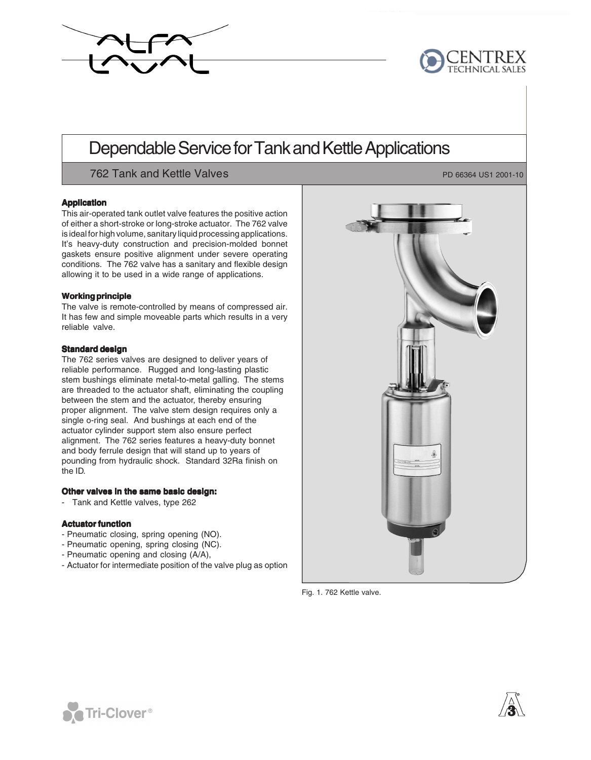



# Dependable Service for Tank and Kettle Applications

762 Tank and Kettle Valves **PD** 66364 US1 2001-10

#### **Application**

This air-operated tank outlet valve features the positive action of either a short-stroke or long-stroke actuator. The 762 valve is ideal for high volume, sanitary liquid processing applications. It's heavy-duty construction and precision-molded bonnet gaskets ensure positive alignment under severe operating conditions. The 762 valve has a sanitary and flexible design allowing it to be used in a wide range of applications.

#### **Workingprinciple**

The valve is remote-controlled by means of compressed air. It has few and simple moveable parts which results in a very reliable valve.

#### **Standard design**

The 762 series valves are designed to deliver years of reliable performance. Rugged and long-lasting plastic stem bushings eliminate metal-to-metal galling. The stems are threaded to the actuator shaft, eliminating the coupling between the stem and the actuator, thereby ensuring proper alignment. The valve stem design requires only a single o-ring seal. And bushings at each end of the actuator cylinder support stem also ensure perfect alignment. The 762 series features a heavy-duty bonnet and body ferrule design that will stand up to years of pounding from hydraulic shock. Standard 32Ra finish on the ID.

# **Other valves in the same basic design:**

- Tank and Kettle valves, type 262

# **Actuator function**

- Pneumatic closing, spring opening (NO).
- Pneumatic opening, spring closing (NC).
- Pneumatic opening and closing (A/A),
- Actuator for intermediate position of the valve plug as option

Fig. 1. 762 Kettle valve.





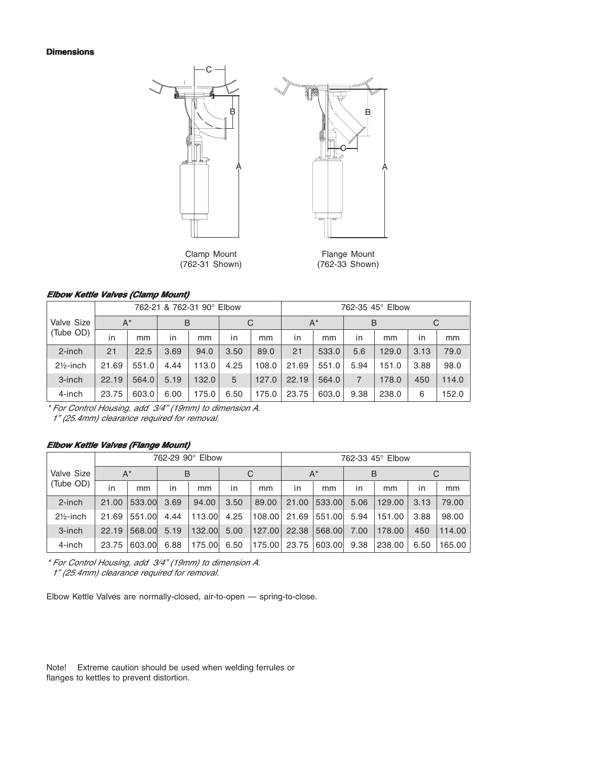#### **Dimensions**





Clamp Mount<br>
(762-31 Shown) (762-33 Shown)

(762-31 Shown) (762-33 Shown)

#### **Elbow Kettle Valves (Clamp Mount)**

|                      | 762-21 & 762-31 90° Elbow |       |      |       |      |       |       | 762-35 45° Elbow |      |       |              |       |
|----------------------|---------------------------|-------|------|-------|------|-------|-------|------------------|------|-------|--------------|-------|
| Valve Size           | $A^*$                     |       | B    |       |      | C     |       | $A^*$            |      | B     |              | C     |
| (Tube OD)            | in                        | mm    | in   | mm    | in   | mm    | in    | mm               | in   | mm    | $\mathsf{I}$ | mm    |
| 2-inch               | 21                        | 22.5  | 3.69 | 94.0  | 3.50 | 89.0  | 21    | 533.0            | 5.6  | 129.0 | 3.13         | 79.0  |
| $2\frac{1}{2}$ -inch | 21.69                     | 551.0 | 4.44 | 113.0 | 4.25 | 108.0 | 21.69 | 551.0            | 5.94 | 151.0 | 3.88         | 98.0  |
| 3-inch               | 22.19                     | 564.0 | 5.19 | 132.0 | 5    | 127.0 | 22.19 | 564.0            |      | 178.0 | 450          | 114.0 |
| 4-inch               | 23.75                     | 603.0 | 6.00 | 175.0 | 6.50 | 175.0 | 23.75 | 603.0            | 9.38 | 238.0 | 6            | 152.0 |

\* For Control Housing, add 3/4" (19mm) to dimension A.

1" (25.4mm) clearance required for removal.

#### **Elbow Kettle Valves (Flange Mount)**

|                      | 762-29 90° Elbow |        |      |        |      |        |       | 762-33 45° Elbow |      |        |      |        |
|----------------------|------------------|--------|------|--------|------|--------|-------|------------------|------|--------|------|--------|
| Valve Size           | $A^*$            |        | B    |        |      | C      |       | $A^*$            |      | B      | С    |        |
| (Tube OD)            | in               | mm     | in   | mm     | in   | mm     | in    | mm               | in   | mm     | in   | mm     |
| $2$ -inch            | 21.00            | 533.00 | 3.69 | 94.00  | 3.50 | 89.00  | 21.00 | 533,00           | 5.06 | 129.00 | 3.13 | 79.00  |
| $2\frac{1}{2}$ -inch | 21.69            | 551.00 | 4.44 | 113.00 | 4.25 | 108.00 | 21.69 | 551.00           | 5.94 | 151.00 | 3.88 | 98.00  |
| 3-inch               | 22.19            | 568,00 | 5.19 | 132,00 | 5.00 | 127.00 | 22.38 | 568,00           | 7.00 | 178.00 | 450  | 114.00 |
| 4-inch               | 23.75            | 603.00 | 6.88 | 175.00 | 6.50 | 175.00 | 23.75 | 603.00           | 9.38 | 238.00 | 6.50 | 165.00 |

\* For Control Housing, add 3/4" (19mm) to dimension A. 1" (25.4mm) clearance required for removal.

Elbow Kettle Valves are normally-closed, air-to-open — spring-to-close.

Note! Extreme caution should be used when welding ferrules or flanges to kettles to prevent distortion.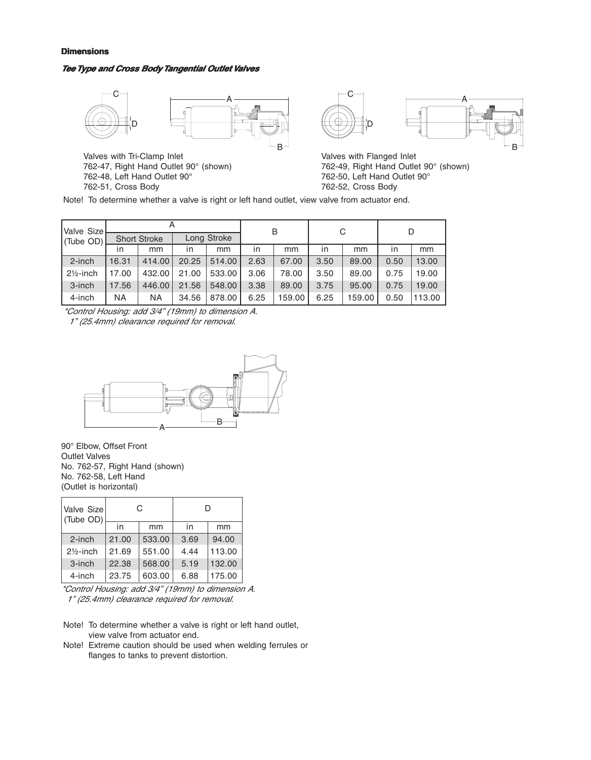#### **Dimensions**

#### **TeeType and Cross BodyTangential OutletValves**



762-51, Cross Body

762-50, Left Hand Outlet 90° 762-52, Cross Body

Note! To determine whether a valve is right or left hand outlet, view valve from actuator end.

| Valve Size           |                     |        |       |             |      | B      |      |        |              | D      |  |
|----------------------|---------------------|--------|-------|-------------|------|--------|------|--------|--------------|--------|--|
| (Tube OD)            | <b>Short Stroke</b> |        |       | Long Stroke |      |        |      |        |              |        |  |
|                      | in                  | mm     | in    | mm          | in   | mm     | in   | mm     | $\mathsf{I}$ | mm     |  |
| $2$ -inch            | 16.31               | 414.00 | 20.25 | 514.00      | 2.63 | 67.00  | 3.50 | 89.00  | 0.50         | 13.00  |  |
| $2\frac{1}{2}$ -inch | 17.00               | 432.00 | 21.00 | 533.00      | 3.06 | 78.00  | 3.50 | 89.00  | 0.75         | 19.00  |  |
| 3-inch               | 17.56               | 446.00 | 21.56 | 548.00      | 3.38 | 89.00  | 3.75 | 95.00  | 0.75         | 19.00  |  |
| 4-inch               | ΝA                  | ΝA     | 34.56 | 878.00      | 6.25 | 159.00 | 6.25 | 159.00 | 0.50         | 113.00 |  |

\*Control Housing: add 3/4" (19mm) to dimension A.

1" (25.4mm) clearance required for removal.



90° Elbow, Offset Front Outlet Valves No. 762-57, Right Hand (shown) No. 762-58, Left Hand (Outlet is horizontal)

| Valve Size<br>(Tube OD) |       | С      | D    |        |  |
|-------------------------|-------|--------|------|--------|--|
|                         | in    | mm     | in   | mm     |  |
| $2$ -inch               | 21.00 | 533.00 | 3.69 | 94.00  |  |
| $2\frac{1}{2}$ -inch    | 21.69 | 551.00 | 4.44 | 113.00 |  |
| $3$ -inch               | 22.38 | 568.00 | 5.19 | 132.00 |  |
| 4-inch                  | 23.75 | 603.00 | 6.88 | 175.00 |  |

\*Control Housing: add 3/4" (19mm) to dimension A. 1" (25.4mm) clearance required for removal.

- Note! To determine whether a valve is right or left hand outlet, view valve from actuator end.
- Note! Extreme caution should be used when welding ferrules or flanges to tanks to prevent distortion.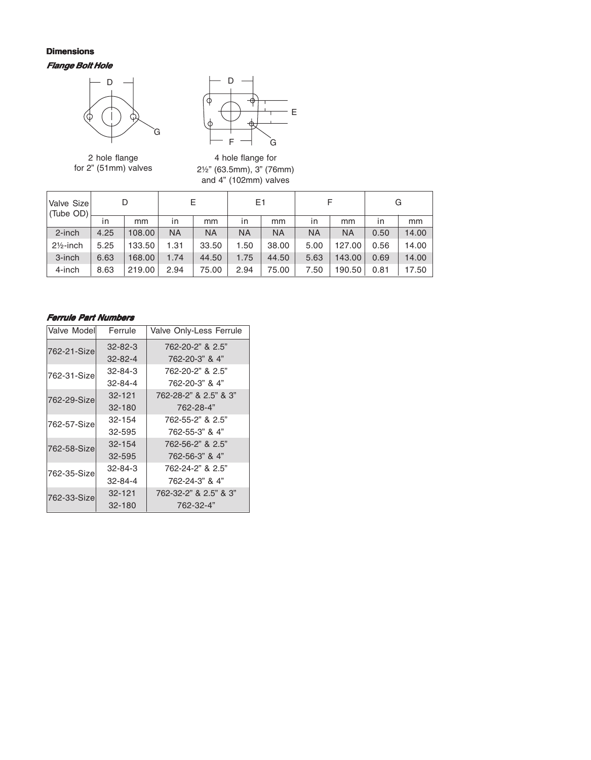# **Flange Bolt Hole Dimensions**



2 hole flange for 2" (51mm) valves



4 hole flange for 2½" (63.5mm), 3" (76mm) and 4" (102mm) valves

| Valve Size<br>(Tube OD) |      |        |           | Е     | E1   |           |      |           |              | G     |
|-------------------------|------|--------|-----------|-------|------|-----------|------|-----------|--------------|-------|
|                         | in   | mm     | ın        | mm    | in   | mm        | in   | mm        | $\mathsf{I}$ | mm    |
| $2$ -inch               | 4.25 | 108.00 | <b>NA</b> | NA    | NA   | <b>NA</b> | ΝA   | <b>NA</b> | 0.50         | 14.00 |
| $2\frac{1}{2}$ -inch    | 5.25 | 133.50 | 1.31      | 33.50 | 1.50 | 38.00     | 5.00 | 127.00    | 0.56         | 14.00 |
| 3-inch                  | 6.63 | 168,00 | 1.74      | 44.50 | 1.75 | 44.50     | 5.63 | 143.00    | 0.69         | 14.00 |
| 4-inch                  | 8.63 | 219.00 | 2.94      | 75.00 | 2.94 | 75.00     | 7.50 | 190.50    | 0.81         | 17.50 |

# **Ferrule Part Numbers**

| Valve Model<br>Ferrule |               | Valve Only-Less Ferrule |
|------------------------|---------------|-------------------------|
| 762-21-Size            | $32 - 82 - 3$ | 762-20-2" & 2.5"        |
|                        | $32 - 82 - 4$ | 762-20-3" & 4"          |
| 762-31-Size            | $32 - 84 - 3$ | 762-20-2" & 2.5"        |
|                        | 32-84-4       | 762-20-3" & 4"          |
| 762-29-Size            | 32-121        | 762-28-2" & 2.5" & 3"   |
|                        | $32 - 180$    | 762-28-4"               |
| 762-57-Size            | 32-154        | 762-55-2" & 2.5"        |
|                        | 32-595        | 762-55-3" & 4"          |
| 762-58-Size            | 32-154        | 762-56-2" & 2.5"        |
|                        | 32-595        | 762-56-3" & 4"          |
| 762-35-Size            | 32-84-3       | 762-24-2" & 2.5"        |
|                        | 32-84-4       | 762-24-3" & 4"          |
| 762-33-Size            | 32-121        | 762-32-2" & 2.5" & 3"   |
|                        | $32 - 180$    | 762-32-4"               |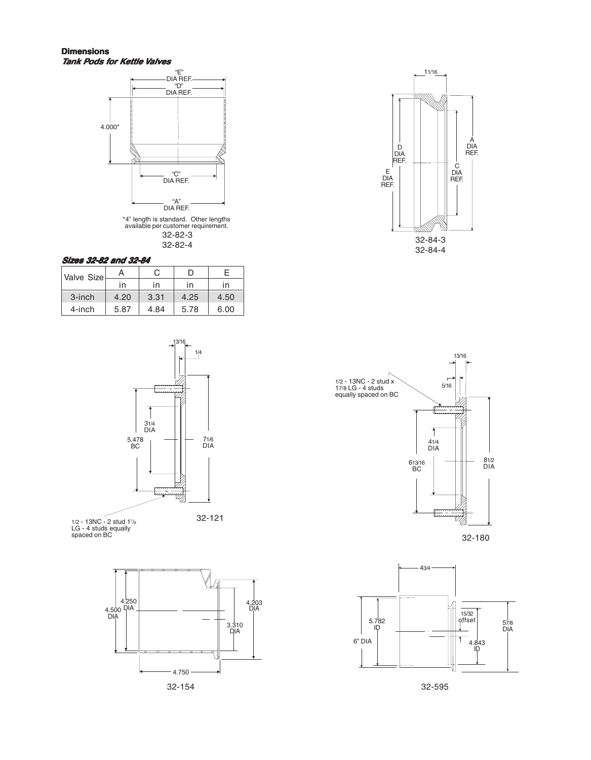#### **Dimensions Tank Pods for Kettle Valves**





#### **Sizes 32-82 and 32-84**

| Valve Size | A    |      | ו ו  |      |
|------------|------|------|------|------|
|            | ın   | ın   | ın   | in   |
| 3-inch     | 4.20 | 3.31 | 4.25 | 4.50 |
| 4-inch     | 5.87 | 4.84 | 5.78 | 6.00 |



1/2 - 13NC - 2 stud 1<sup>7</sup> /8 LG - 4 studs equally spaced on BC









32-180



32-595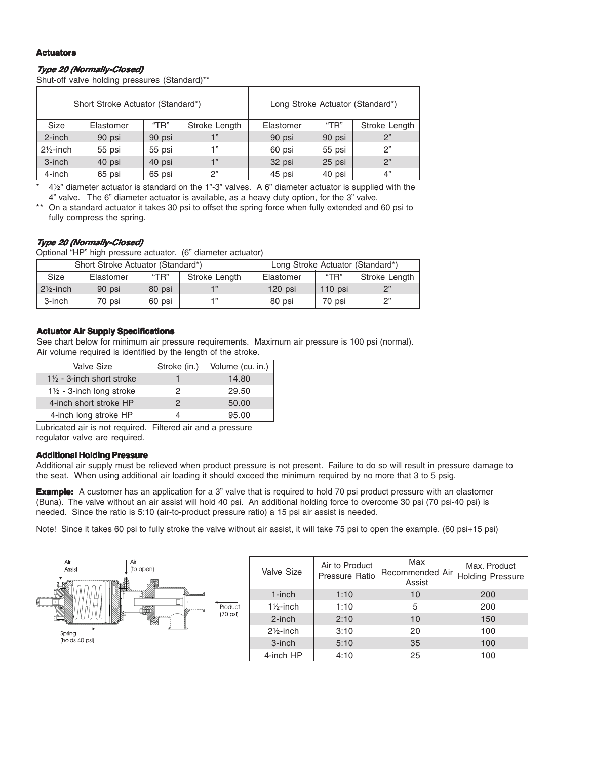#### **Actuators**

# **Type <sup>20</sup> (Normally-Closed)**

Shut-off valve holding pressures (Standard)\*\*

|                      | Short Stroke Actuator (Standard*) |        |               |           | Long Stroke Actuator (Standard*) |               |
|----------------------|-----------------------------------|--------|---------------|-----------|----------------------------------|---------------|
| <b>Size</b>          | Elastomer                         | "TR"   | Stroke Length | Elastomer | "TR"                             | Stroke Length |
| $2$ -inch            | 90 psi                            | 90 psi |               | 90 psi    | 90 psi                           | 2"            |
| $2\frac{1}{2}$ -inch | 55 psi                            | 55 psi | -1 "          | 60 psi    | 55 psi                           | 2"            |
| 3-inch               | 40 psi                            | 40 psi | 1"            | 32 psi    | 25 psi                           | 2"            |
| 4-inch               | 65 psi                            | 65 psi | 2"            | 45 psi    | 40 psi                           | 4"            |

\* 4½" diameter actuator is standard on the 1"-3" valves. A 6" diameter actuator is supplied with the 4" valve. The 6" diameter actuator is available, as a heavy duty option, for the 3" valve.

\*\* On a standard actuator it takes 30 psi to offset the spring force when fully extended and 60 psi to fully compress the spring.

#### **Type <sup>20</sup> (Normally-Closed)**

Optional "HP" high pressure actuator. (6" diameter actuator)

|                      | Short Stroke Actuator (Standard*) |        | Long Stroke Actuator (Standard*) |           |           |               |
|----------------------|-----------------------------------|--------|----------------------------------|-----------|-----------|---------------|
| Size                 | Elastomer                         | "TR"   | Stroke Length                    | Elastomer | "TR"      | Stroke Length |
| $2\frac{1}{2}$ -inch | 90 psi                            | 80 psi |                                  | $120$ psi | 110 $psi$ | ייכ           |
| 3-inch               | 70 psi                            | 60 psi |                                  | 80 psi    | 70 psi    | ייפ           |

#### **Actuator Air Supply Specifications**

See chart below for minimum air pressure requirements. Maximum air pressure is 100 psi (normal). Air volume required is identified by the length of the stroke.

| Valve Size                           | Stroke (in.) | Volume (cu. in.) |
|--------------------------------------|--------------|------------------|
| $1\frac{1}{2}$ - 3-inch short stroke |              | 14.80            |
| $1\frac{1}{2}$ - 3-inch long stroke  |              | 29.50            |
| 4-inch short stroke HP               |              | 50.00            |
| 4-inch long stroke HP                |              | 95.00            |

Lubricated air is not required. Filtered air and a pressure regulator valve are required.

#### **Additional Holding Pressure**

Additional air supply must be relieved when product pressure is not present. Failure to do so will result in pressure damage to the seat. When using additional air loading it should exceed the minimum required by no more that 3 to 5 psig.

**Example:** A customer has an application for a 3" valve that is required to hold 70 psi product pressure with an elastomer (Buna). The valve without an air assist will hold 40 psi. An additional holding force to overcome 30 psi (70 psi-40 psi) is needed. Since the ratio is 5:10 (air-to-product pressure ratio) a 15 psi air assist is needed.

Note! Since it takes 60 psi to fully stroke the valve without air assist, it will take 75 psi to open the example. (60 psi+15 psi)

| Air<br>Air<br>Assist<br>(to open)                   | Valve Size           | Air to Product<br>Pressure Ratio | Max<br>Recommended Air Holding Pressure <sup>1</sup><br>Assist | Max. Product |
|-----------------------------------------------------|----------------------|----------------------------------|----------------------------------------------------------------|--------------|
| <b><i>Secondary</i></b><br><b>RW</b>                | $1$ -inch            | 1:10                             | 10                                                             | 200          |
| Product<br>W<br><b><i><u>Communication</u></i></b>  | $1\frac{1}{2}$ -inch | 1:10                             | 5                                                              | 200          |
| $(70 \text{ psi})$<br><b>RESERVE AND RESPONSIVE</b> | $2$ -inch            | 2:10                             | 10                                                             | 150          |
| Spring                                              | $2\frac{1}{2}$ -inch | 3:10                             | 20                                                             | 100          |
| (holds 40 psi)                                      | $3$ -inch            | 5:10                             | 35                                                             | 100          |
|                                                     | 4-inch HP            | 4:10                             | 25                                                             | 100          |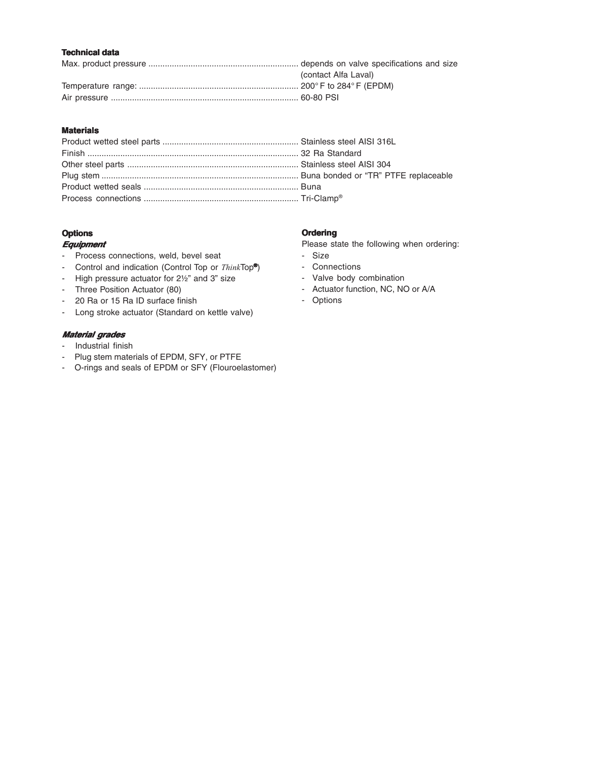# **Technical data**

| (contact Alfa Laval) |
|----------------------|
|                      |
|                      |

#### **Materials**

# **Options**

#### **Equipment**

- Process connections, weld, bevel seat
- Control and indication (Control Top or ThinkTop**®** )
- High pressure actuator for 2½" and 3" size
- Three Position Actuator (80)
- 20 Ra or 15 Ra ID surface finish
- Long stroke actuator (Standard on kettle valve)

#### **Material grades**

- Industrial finish
- Plug stem materials of EPDM, SFY, or PTFE
- O-rings and seals of EPDM or SFY (Flouroelastomer)

#### **Ordering**

Please state the following when ordering:

- Size
- Connections
- Valve body combination
- Actuator function, NC, NO or A/A
- Options